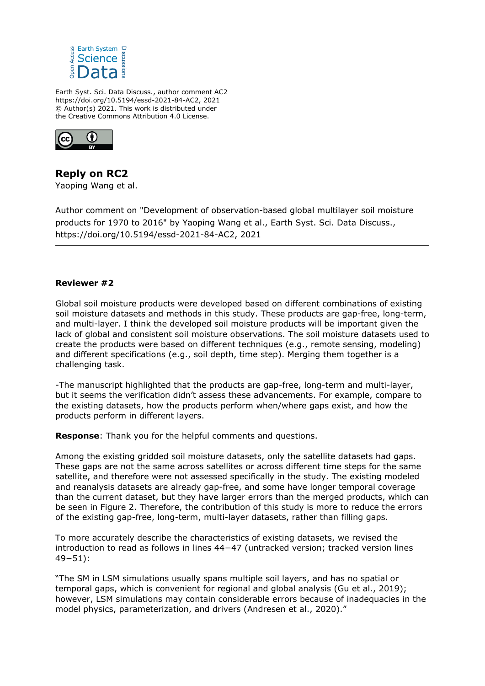

Earth Syst. Sci. Data Discuss., author comment AC2 https://doi.org/10.5194/essd-2021-84-AC2, 2021 © Author(s) 2021. This work is distributed under the Creative Commons Attribution 4.0 License.



**Reply on RC2** Yaoping Wang et al.

Author comment on "Development of observation-based global multilayer soil moisture products for 1970 to 2016" by Yaoping Wang et al., Earth Syst. Sci. Data Discuss., https://doi.org/10.5194/essd-2021-84-AC2, 2021

## **Reviewer #2**

Global soil moisture products were developed based on different combinations of existing soil moisture datasets and methods in this study. These products are gap-free, long-term, and multi-layer. I think the developed soil moisture products will be important given the lack of global and consistent soil moisture observations. The soil moisture datasets used to create the products were based on different techniques (e.g., remote sensing, modeling) and different specifications (e.g., soil depth, time step). Merging them together is a challenging task.

-The manuscript highlighted that the products are gap-free, long-term and multi-layer, but it seems the verification didn't assess these advancements. For example, compare to the existing datasets, how the products perform when/where gaps exist, and how the products perform in different layers.

**Response**: Thank you for the helpful comments and questions.

Among the existing gridded soil moisture datasets, only the satellite datasets had gaps. These gaps are not the same across satellites or across different time steps for the same satellite, and therefore were not assessed specifically in the study. The existing modeled and reanalysis datasets are already gap-free, and some have longer temporal coverage than the current dataset, but they have larger errors than the merged products, which can be seen in Figure 2. Therefore, the contribution of this study is more to reduce the errors of the existing gap-free, long-term, multi-layer datasets, rather than filling gaps.

To more accurately describe the characteristics of existing datasets, we revised the introduction to read as follows in lines 44−47 (untracked version; tracked version lines 49−51):

"The SM in LSM simulations usually spans multiple soil layers, and has no spatial or temporal gaps, which is convenient for regional and global analysis (Gu et al., 2019); however, LSM simulations may contain considerable errors because of inadequacies in the model physics, parameterization, and drivers (Andresen et al., 2020)."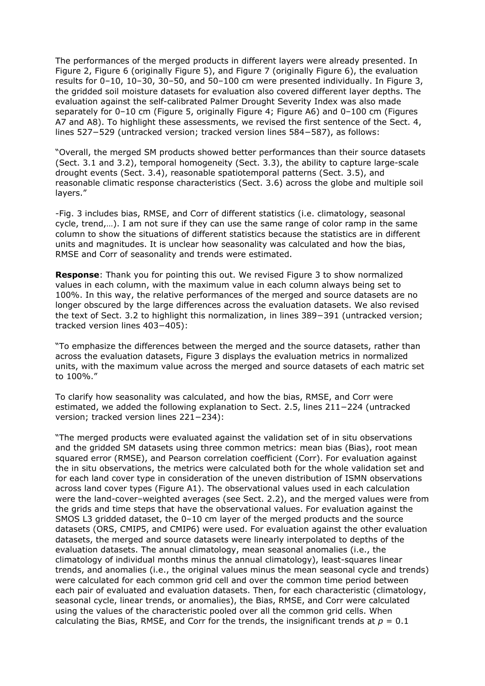The performances of the merged products in different layers were already presented. In Figure 2, Figure 6 (originally Figure 5), and Figure 7 (originally Figure 6), the evaluation results for 0–10, 10–30, 30–50, and 50–100 cm were presented individually. In Figure 3, the gridded soil moisture datasets for evaluation also covered different layer depths. The evaluation against the self-calibrated Palmer Drought Severity Index was also made separately for 0–10 cm (Figure 5, originally Figure 4; Figure A6) and 0–100 cm (Figures A7 and A8). To highlight these assessments, we revised the first sentence of the Sect. 4, lines 527−529 (untracked version; tracked version lines 584−587), as follows:

"Overall, the merged SM products showed better performances than their source datasets (Sect. 3.1 and 3.2), temporal homogeneity (Sect. 3.3), the ability to capture large-scale drought events (Sect. 3.4), reasonable spatiotemporal patterns (Sect. 3.5), and reasonable climatic response characteristics (Sect. 3.6) across the globe and multiple soil layers."

-Fig. 3 includes bias, RMSE, and Corr of different statistics (i.e. climatology, seasonal cycle, trend,…). I am not sure if they can use the same range of color ramp in the same column to show the situations of different statistics because the statistics are in different units and magnitudes. It is unclear how seasonality was calculated and how the bias, RMSE and Corr of seasonality and trends were estimated.

**Response**: Thank you for pointing this out. We revised Figure 3 to show normalized values in each column, with the maximum value in each column always being set to 100%. In this way, the relative performances of the merged and source datasets are no longer obscured by the large differences across the evaluation datasets. We also revised the text of Sect. 3.2 to highlight this normalization, in lines 389−391 (untracked version; tracked version lines 403−405):

"To emphasize the differences between the merged and the source datasets, rather than across the evaluation datasets, Figure 3 displays the evaluation metrics in normalized units, with the maximum value across the merged and source datasets of each matric set to 100%."

To clarify how seasonality was calculated, and how the bias, RMSE, and Corr were estimated, we added the following explanation to Sect. 2.5, lines 211−224 (untracked version; tracked version lines 221−234):

"The merged products were evaluated against the validation set of in situ observations and the gridded SM datasets using three common metrics: mean bias (Bias), root mean squared error (RMSE), and Pearson correlation coefficient (Corr). For evaluation against the in situ observations, the metrics were calculated both for the whole validation set and for each land cover type in consideration of the uneven distribution of ISMN observations across land cover types (Figure A1). The observational values used in each calculation were the land-cover–weighted averages (see Sect. 2.2), and the merged values were from the grids and time steps that have the observational values. For evaluation against the SMOS L3 gridded dataset, the 0–10 cm layer of the merged products and the source datasets (ORS, CMIP5, and CMIP6) were used. For evaluation against the other evaluation datasets, the merged and source datasets were linearly interpolated to depths of the evaluation datasets. The annual climatology, mean seasonal anomalies (i.e., the climatology of individual months minus the annual climatology), least-squares linear trends, and anomalies (i.e., the original values minus the mean seasonal cycle and trends) were calculated for each common grid cell and over the common time period between each pair of evaluated and evaluation datasets. Then, for each characteristic (climatology, seasonal cycle, linear trends, or anomalies), the Bias, RMSE, and Corr were calculated using the values of the characteristic pooled over all the common grid cells. When calculating the Bias, RMSE, and Corr for the trends, the insignificant trends at  $p = 0.1$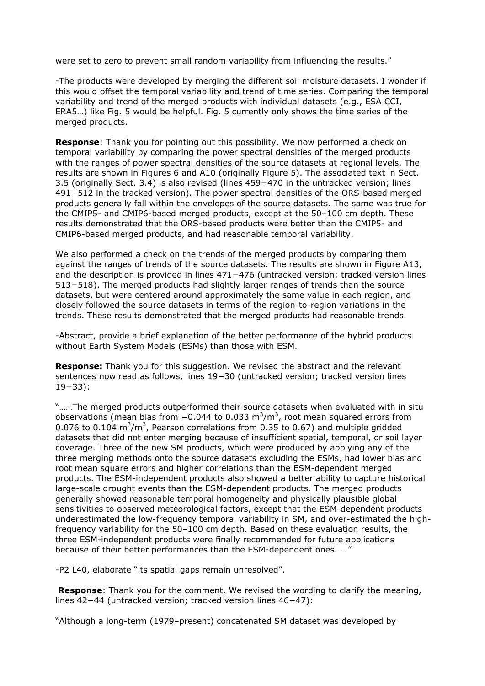were set to zero to prevent small random variability from influencing the results."

-The products were developed by merging the different soil moisture datasets. I wonder if this would offset the temporal variability and trend of time series. Comparing the temporal variability and trend of the merged products with individual datasets (e.g., ESA CCI, ERA5…) like Fig. 5 would be helpful. Fig. 5 currently only shows the time series of the merged products.

**Response**: Thank you for pointing out this possibility. We now performed a check on temporal variability by comparing the power spectral densities of the merged products with the ranges of power spectral densities of the source datasets at regional levels. The results are shown in Figures 6 and A10 (originally Figure 5). The associated text in Sect. 3.5 (originally Sect. 3.4) is also revised (lines 459−470 in the untracked version; lines 491−512 in the tracked version). The power spectral densities of the ORS-based merged products generally fall within the envelopes of the source datasets. The same was true for the CMIP5- and CMIP6-based merged products, except at the 50–100 cm depth. These results demonstrated that the ORS-based products were better than the CMIP5- and CMIP6-based merged products, and had reasonable temporal variability.

We also performed a check on the trends of the merged products by comparing them against the ranges of trends of the source datasets. The results are shown in Figure A13, and the description is provided in lines 471−476 (untracked version; tracked version lines 513−518). The merged products had slightly larger ranges of trends than the source datasets, but were centered around approximately the same value in each region, and closely followed the source datasets in terms of the region-to-region variations in the trends. These results demonstrated that the merged products had reasonable trends.

-Abstract, provide a brief explanation of the better performance of the hybrid products without Earth System Models (ESMs) than those with ESM.

**Response:** Thank you for this suggestion. We revised the abstract and the relevant sentences now read as follows, lines 19−30 (untracked version; tracked version lines 19−33):

"……The merged products outperformed their source datasets when evaluated with in situ observations (mean bias from -0.044 to 0.033 m<sup>3</sup>/m<sup>3</sup>, root mean squared errors from 0.076 to 0.104  $\text{m}^3/\text{m}^3$ , Pearson correlations from 0.35 to 0.67) and multiple gridded datasets that did not enter merging because of insufficient spatial, temporal, or soil layer coverage. Three of the new SM products, which were produced by applying any of the three merging methods onto the source datasets excluding the ESMs, had lower bias and root mean square errors and higher correlations than the ESM-dependent merged products. The ESM-independent products also showed a better ability to capture historical large-scale drought events than the ESM-dependent products. The merged products generally showed reasonable temporal homogeneity and physically plausible global sensitivities to observed meteorological factors, except that the ESM-dependent products underestimated the low-frequency temporal variability in SM, and over-estimated the highfrequency variability for the 50–100 cm depth. Based on these evaluation results, the three ESM-independent products were finally recommended for future applications because of their better performances than the ESM-dependent ones……"

-P2 L40, elaborate "its spatial gaps remain unresolved".

**Response**: Thank you for the comment. We revised the wording to clarify the meaning, lines 42−44 (untracked version; tracked version lines 46−47):

"Although a long-term (1979–present) concatenated SM dataset was developed by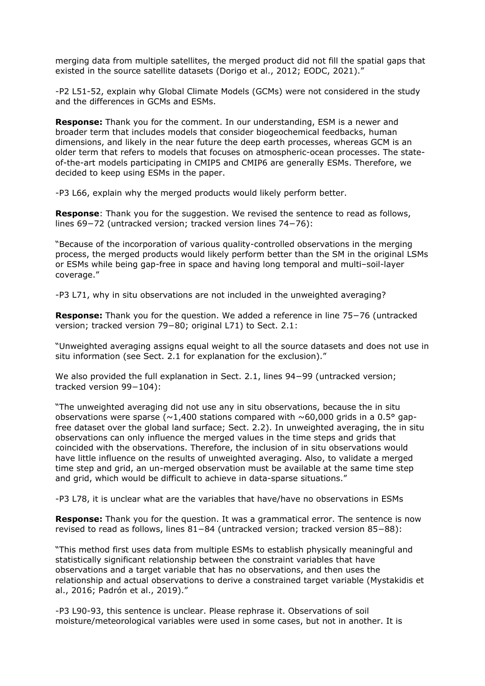merging data from multiple satellites, the merged product did not fill the spatial gaps that existed in the source satellite datasets (Dorigo et al., 2012; EODC, 2021)."

-P2 L51-52, explain why Global Climate Models (GCMs) were not considered in the study and the differences in GCMs and ESMs.

**Response:** Thank you for the comment. In our understanding, ESM is a newer and broader term that includes models that consider biogeochemical feedbacks, human dimensions, and likely in the near future the deep earth processes, whereas GCM is an older term that refers to models that focuses on atmospheric-ocean processes. The stateof-the-art models participating in CMIP5 and CMIP6 are generally ESMs. Therefore, we decided to keep using ESMs in the paper.

-P3 L66, explain why the merged products would likely perform better.

**Response**: Thank you for the suggestion. We revised the sentence to read as follows, lines 69−72 (untracked version; tracked version lines 74−76):

"Because of the incorporation of various quality-controlled observations in the merging process, the merged products would likely perform better than the SM in the original LSMs or ESMs while being gap-free in space and having long temporal and multi–soil-layer coverage."

-P3 L71, why in situ observations are not included in the unweighted averaging?

**Response:** Thank you for the question. We added a reference in line 75−76 (untracked version; tracked version 79−80; original L71) to Sect. 2.1:

"Unweighted averaging assigns equal weight to all the source datasets and does not use in situ information (see Sect. 2.1 for explanation for the exclusion)."

We also provided the full explanation in Sect. 2.1, lines 94-99 (untracked version; tracked version 99−104):

"The unweighted averaging did not use any in situ observations, because the in situ observations were sparse ( $\sim$ 1,400 stations compared with  $\sim$  60,000 grids in a 0.5 $^{\circ}$  gapfree dataset over the global land surface; Sect. 2.2). In unweighted averaging, the in situ observations can only influence the merged values in the time steps and grids that coincided with the observations. Therefore, the inclusion of in situ observations would have little influence on the results of unweighted averaging. Also, to validate a merged time step and grid, an un-merged observation must be available at the same time step and grid, which would be difficult to achieve in data-sparse situations."

-P3 L78, it is unclear what are the variables that have/have no observations in ESMs

**Response:** Thank you for the question. It was a grammatical error. The sentence is now revised to read as follows, lines 81−84 (untracked version; tracked version 85−88):

"This method first uses data from multiple ESMs to establish physically meaningful and statistically significant relationship between the constraint variables that have observations and a target variable that has no observations, and then uses the relationship and actual observations to derive a constrained target variable (Mystakidis et al., 2016; Padrón et al., 2019)."

-P3 L90-93, this sentence is unclear. Please rephrase it. Observations of soil moisture/meteorological variables were used in some cases, but not in another. It is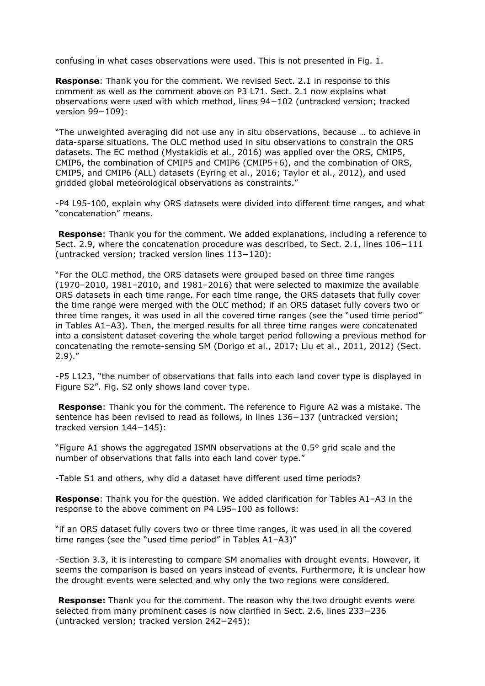confusing in what cases observations were used. This is not presented in Fig. 1.

**Response**: Thank you for the comment. We revised Sect. 2.1 in response to this comment as well as the comment above on P3 L71. Sect. 2.1 now explains what observations were used with which method, lines 94−102 (untracked version; tracked version 99−109):

"The unweighted averaging did not use any in situ observations, because … to achieve in data-sparse situations. The OLC method used in situ observations to constrain the ORS datasets. The EC method (Mystakidis et al., 2016) was applied over the ORS, CMIP5, CMIP6, the combination of CMIP5 and CMIP6 (CMIP5+6), and the combination of ORS, CMIP5, and CMIP6 (ALL) datasets (Eyring et al., 2016; Taylor et al., 2012), and used gridded global meteorological observations as constraints."

-P4 L95-100, explain why ORS datasets were divided into different time ranges, and what "concatenation" means.

**Response**: Thank you for the comment. We added explanations, including a reference to Sect. 2.9, where the concatenation procedure was described, to Sect. 2.1, lines 106−111 (untracked version; tracked version lines 113−120):

"For the OLC method, the ORS datasets were grouped based on three time ranges (1970–2010, 1981–2010, and 1981–2016) that were selected to maximize the available ORS datasets in each time range. For each time range, the ORS datasets that fully cover the time range were merged with the OLC method; if an ORS dataset fully covers two or three time ranges, it was used in all the covered time ranges (see the "used time period" in Tables A1–A3). Then, the merged results for all three time ranges were concatenated into a consistent dataset covering the whole target period following a previous method for concatenating the remote-sensing SM (Dorigo et al., 2017; Liu et al., 2011, 2012) (Sect. 2.9)."

-P5 L123, "the number of observations that falls into each land cover type is displayed in Figure S2". Fig. S2 only shows land cover type.

**Response**: Thank you for the comment. The reference to Figure A2 was a mistake. The sentence has been revised to read as follows, in lines 136−137 (untracked version; tracked version 144−145):

"Figure A1 shows the aggregated ISMN observations at the  $0.5^\circ$  grid scale and the number of observations that falls into each land cover type."

-Table S1 and others, why did a dataset have different used time periods?

**Response**: Thank you for the question. We added clarification for Tables A1–A3 in the response to the above comment on P4 L95–100 as follows:

"if an ORS dataset fully covers two or three time ranges, it was used in all the covered time ranges (see the "used time period" in Tables A1–A3)"

-Section 3.3, it is interesting to compare SM anomalies with drought events. However, it seems the comparison is based on years instead of events. Furthermore, it is unclear how the drought events were selected and why only the two regions were considered.

**Response:** Thank you for the comment. The reason why the two drought events were selected from many prominent cases is now clarified in Sect. 2.6, lines 233−236 (untracked version; tracked version 242−245):